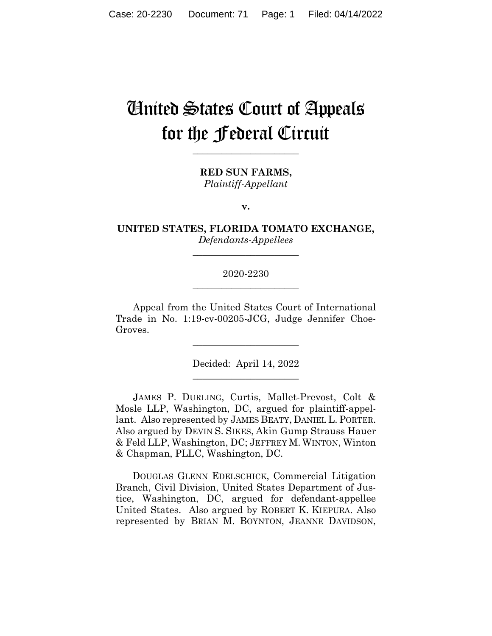# United States Court of Appeals for the Federal Circuit

**\_\_\_\_\_\_\_\_\_\_\_\_\_\_\_\_\_\_\_\_\_\_** 

**RED SUN FARMS,** *Plaintiff-Appellant*

**v.**

**UNITED STATES, FLORIDA TOMATO EXCHANGE,** *Defendants-Appellees*

**\_\_\_\_\_\_\_\_\_\_\_\_\_\_\_\_\_\_\_\_\_\_** 

## 2020-2230 **\_\_\_\_\_\_\_\_\_\_\_\_\_\_\_\_\_\_\_\_\_\_**

Appeal from the United States Court of International Trade in No. 1:19-cv-00205-JCG, Judge Jennifer Choe-Groves.

\_\_\_\_\_\_\_\_\_\_\_\_\_\_\_\_\_\_\_\_\_\_

Decided: April 14, 2022 \_\_\_\_\_\_\_\_\_\_\_\_\_\_\_\_\_\_\_\_\_\_

JAMES P. DURLING, Curtis, Mallet-Prevost, Colt & Mosle LLP, Washington, DC, argued for plaintiff-appellant. Also represented by JAMES BEATY, DANIEL L. PORTER. Also argued by DEVIN S. SIKES, Akin Gump Strauss Hauer & Feld LLP, Washington, DC; JEFFREY M. WINTON, Winton & Chapman, PLLC, Washington, DC.

 DOUGLAS GLENN EDELSCHICK, Commercial Litigation Branch, Civil Division, United States Department of Justice, Washington, DC, argued for defendant-appellee United States. Also argued by ROBERT K. KIEPURA. Also represented by BRIAN M. BOYNTON, JEANNE DAVIDSON,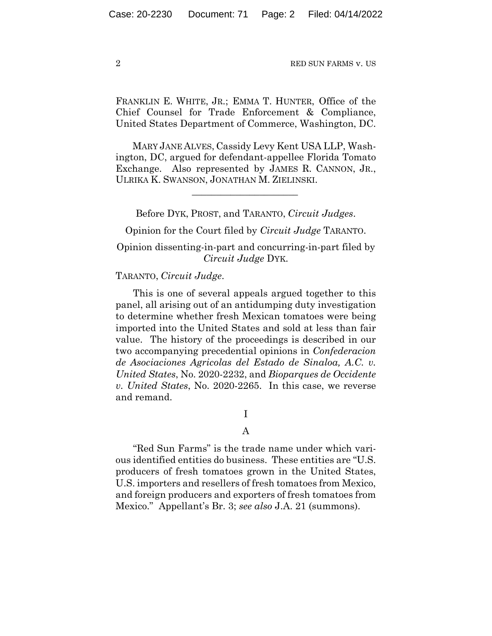FRANKLIN E. WHITE, JR.; EMMA T. HUNTER, Office of the Chief Counsel for Trade Enforcement & Compliance, United States Department of Commerce, Washington, DC.

 MARY JANE ALVES, Cassidy Levy Kent USA LLP, Washington, DC, argued for defendant-appellee Florida Tomato Exchange. Also represented by JAMES R. CANNON, JR., ULRIKA K. SWANSON, JONATHAN M. ZIELINSKI.

Before DYK, PROST, and TARANTO, *Circuit Judges*.

 $\mathcal{L}_\text{max}$  and  $\mathcal{L}_\text{max}$  and  $\mathcal{L}_\text{max}$  and  $\mathcal{L}_\text{max}$ 

Opinion for the Court filed by *Circuit Judge* TARANTO.

Opinion dissenting-in-part and concurring-in-part filed by *Circuit Judge* DYK.

## TARANTO, *Circuit Judge*.

This is one of several appeals argued together to this panel, all arising out of an antidumping duty investigation to determine whether fresh Mexican tomatoes were being imported into the United States and sold at less than fair value.The history of the proceedings is described in our two accompanying precedential opinions in *Confederacion de Asociaciones Agricolas del Estado de Sinaloa, A.C. v. United States*, No. 2020-2232, and *Bioparques de Occidente v. United States*, No. 2020-2265. In this case, we reverse and remand.

I

## A

"Red Sun Farms" is the trade name under which various identified entities do business. These entities are "U.S. producers of fresh tomatoes grown in the United States, U.S. importers and resellers of fresh tomatoes from Mexico, and foreign producers and exporters of fresh tomatoes from Mexico." Appellant's Br. 3; *see also* J.A. 21 (summons).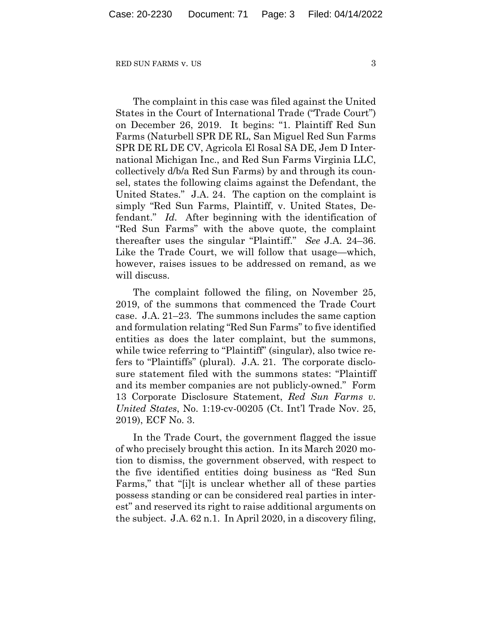The complaint in this case was filed against the United States in the Court of International Trade ("Trade Court") on December 26, 2019. It begins: "1. Plaintiff Red Sun Farms (Naturbell SPR DE RL, San Miguel Red Sun Farms SPR DE RL DE CV, Agricola El Rosal SA DE, Jem D International Michigan Inc., and Red Sun Farms Virginia LLC, collectively d/b/a Red Sun Farms) by and through its counsel, states the following claims against the Defendant, the United States." J.A. 24. The caption on the complaint is simply "Red Sun Farms, Plaintiff, v. United States, Defendant." *Id.* After beginning with the identification of "Red Sun Farms" with the above quote, the complaint thereafter uses the singular "Plaintiff." *See* J.A. 24–36. Like the Trade Court, we will follow that usage—which, however, raises issues to be addressed on remand, as we will discuss.

The complaint followed the filing, on November 25, 2019, of the summons that commenced the Trade Court case. J.A. 21–23. The summons includes the same caption and formulation relating "Red Sun Farms" to five identified entities as does the later complaint, but the summons, while twice referring to "Plaintiff" (singular), also twice refers to "Plaintiffs" (plural). J.A. 21. The corporate disclosure statement filed with the summons states: "Plaintiff and its member companies are not publicly-owned." Form 13 Corporate Disclosure Statement, *Red Sun Farms v. United States*, No. 1:19-cv-00205 (Ct. Int'l Trade Nov. 25, 2019), ECF No. 3.

In the Trade Court, the government flagged the issue of who precisely brought this action. In its March 2020 motion to dismiss, the government observed, with respect to the five identified entities doing business as "Red Sun Farms," that "[i]t is unclear whether all of these parties possess standing or can be considered real parties in interest" and reserved its right to raise additional arguments on the subject. J.A. 62 n.1. In April 2020, in a discovery filing,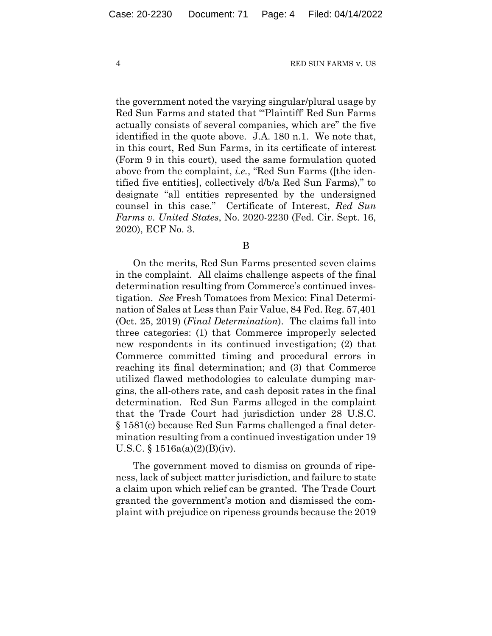the government noted the varying singular/plural usage by Red Sun Farms and stated that "'Plaintiff' Red Sun Farms actually consists of several companies, which are" the five identified in the quote above. J.A. 180 n.1. We note that, in this court, Red Sun Farms, in its certificate of interest (Form 9 in this court), used the same formulation quoted above from the complaint, *i.e.*, "Red Sun Farms ([the identified five entities], collectively d/b/a Red Sun Farms)," to designate "all entities represented by the undersigned counsel in this case." Certificate of Interest, *Red Sun Farms v. United States*, No. 2020-2230 (Fed. Cir. Sept. 16, 2020), ECF No. 3.

## B

On the merits, Red Sun Farms presented seven claims in the complaint. All claims challenge aspects of the final determination resulting from Commerce's continued investigation. *See* Fresh Tomatoes from Mexico: Final Determination of Sales at Less than Fair Value, 84 Fed. Reg. 57,401 (Oct. 25, 2019) (*Final Determination*).The claims fall into three categories: (1) that Commerce improperly selected new respondents in its continued investigation; (2) that Commerce committed timing and procedural errors in reaching its final determination; and (3) that Commerce utilized flawed methodologies to calculate dumping margins, the all-others rate, and cash deposit rates in the final determination.Red Sun Farms alleged in the complaint that the Trade Court had jurisdiction under 28 U.S.C. § 1581(c) because Red Sun Farms challenged a final determination resulting from a continued investigation under 19 U.S.C.  $\S$  1516a(a)(2)(B)(iv).

The government moved to dismiss on grounds of ripeness, lack of subject matter jurisdiction, and failure to state a claim upon which relief can be granted. The Trade Court granted the government's motion and dismissed the complaint with prejudice on ripeness grounds because the 2019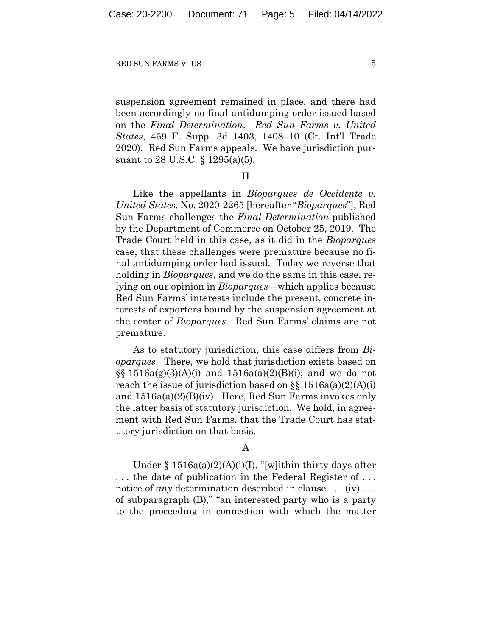suspension agreement remained in place, and there had been accordingly no final antidumping order issued based on the *Final Determination*. *Red Sun Farms v. United States*, 469 F. Supp. 3d 1403, 1408–10 (Ct. Int'l Trade 2020). Red Sun Farms appeals. We have jurisdiction pursuant to 28 U.S.C. § 1295(a)(5).

#### II

Like the appellants in *Bioparques de Occidente v. United States*, No. 2020-2265 [hereafter "*Bioparques*"], Red Sun Farms challenges the *Final Determination* published by the Department of Commerce on October 25, 2019. The Trade Court held in this case, as it did in the *Bioparques* case, that these challenges were premature because no final antidumping order had issued. Today we reverse that holding in *Bioparques*, and we do the same in this case, relying on our opinion in *Bioparques*—which applies because Red Sun Farms' interests include the present, concrete interests of exporters bound by the suspension agreement at the center of *Bioparques*. Red Sun Farms' claims are not premature.

As to statutory jurisdiction, this case differs from *Bioparques*. There, we hold that jurisdiction exists based on  $\S\ S 1516a(g)(3)(A)(i)$  and  $1516a(a)(2)(B)(i)$ ; and we do not reach the issue of jurisdiction based on  $\S$ § 1516a(a)(2)(A)(i) and 1516a(a)(2)(B)(iv). Here, Red Sun Farms invokes only the latter basis of statutory jurisdiction. We hold, in agreement with Red Sun Farms, that the Trade Court has statutory jurisdiction on that basis.

## A

Under § 1516a(a)(2)(A)(i)(I), "[w]ithin thirty days after . . . the date of publication in the Federal Register of . . . notice of *any* determination described in clause . . . (iv) . . . of subparagraph (B)," "an interested party who is a party to the proceeding in connection with which the matter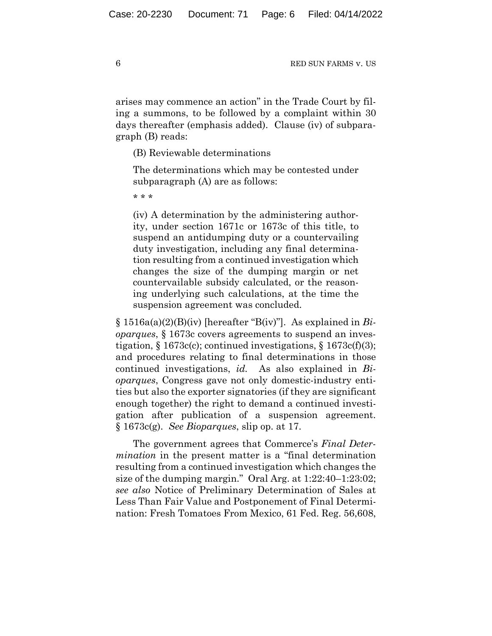arises may commence an action" in the Trade Court by filing a summons, to be followed by a complaint within 30 days thereafter (emphasis added). Clause (iv) of subparagraph (B) reads:

(B) Reviewable determinations

The determinations which may be contested under subparagraph (A) are as follows:

\* \* \*

(iv) A determination by the administering authority, under section 1671c or 1673c of this title, to suspend an antidumping duty or a countervailing duty investigation, including any final determination resulting from a continued investigation which changes the size of the dumping margin or net countervailable subsidy calculated, or the reasoning underlying such calculations, at the time the suspension agreement was concluded.

§ 1516a(a)(2)(B)(iv) [hereafter "B(iv)"]. As explained in *Bioparques*, § 1673c covers agreements to suspend an investigation,  $\S 1673c(c)$ ; continued investigations,  $\S 1673c(f)(3)$ ; and procedures relating to final determinations in those continued investigations, *id.* As also explained in *Bioparques*, Congress gave not only domestic-industry entities but also the exporter signatories (if they are significant enough together) the right to demand a continued investigation after publication of a suspension agreement. § 1673c(g). *See Bioparques*, slip op. at 17.

The government agrees that Commerce's *Final Determination* in the present matter is a "final determination resulting from a continued investigation which changes the size of the dumping margin." Oral Arg. at 1:22:40–1:23:02; *see also* Notice of Preliminary Determination of Sales at Less Than Fair Value and Postponement of Final Determination: Fresh Tomatoes From Mexico, 61 Fed. Reg. 56,608,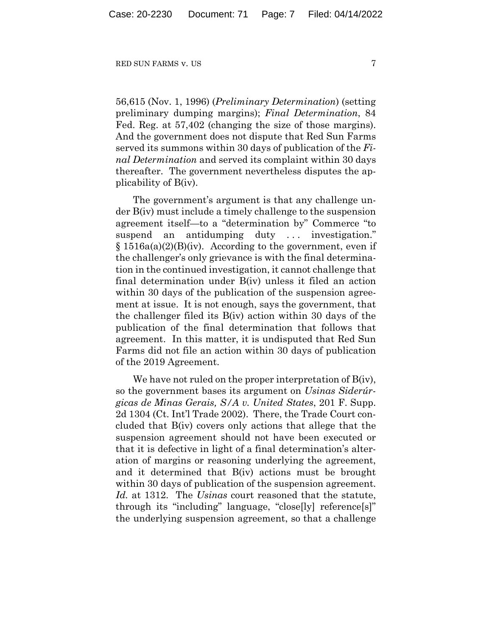56,615 (Nov. 1, 1996) (*Preliminary Determination*) (setting preliminary dumping margins); *Final Determination*, 84 Fed. Reg. at 57,402 (changing the size of those margins). And the government does not dispute that Red Sun Farms served its summons within 30 days of publication of the *Final Determination* and served its complaint within 30 days thereafter. The government nevertheless disputes the applicability of B(iv).

The government's argument is that any challenge under B(iv) must include a timely challenge to the suspension agreement itself—to a "determination by" Commerce "to suspend an antidumping duty ... investigation."  $§ 1516a(a)(2)(B)(iv)$ . According to the government, even if the challenger's only grievance is with the final determination in the continued investigation, it cannot challenge that final determination under B(iv) unless it filed an action within 30 days of the publication of the suspension agreement at issue. It is not enough, says the government, that the challenger filed its B(iv) action within 30 days of the publication of the final determination that follows that agreement. In this matter, it is undisputed that Red Sun Farms did not file an action within 30 days of publication of the 2019 Agreement.

We have not ruled on the proper interpretation of B(iv), so the government bases its argument on *Usinas Siderúrgicas de Minas Gerais, S/A v. United States*, 201 F. Supp. 2d 1304 (Ct. Int'l Trade 2002). There, the Trade Court concluded that B(iv) covers only actions that allege that the suspension agreement should not have been executed or that it is defective in light of a final determination's alteration of margins or reasoning underlying the agreement, and it determined that B(iv) actions must be brought within 30 days of publication of the suspension agreement. *Id.* at 1312. The *Usinas* court reasoned that the statute, through its "including" language, "close[ly] reference[s]" the underlying suspension agreement, so that a challenge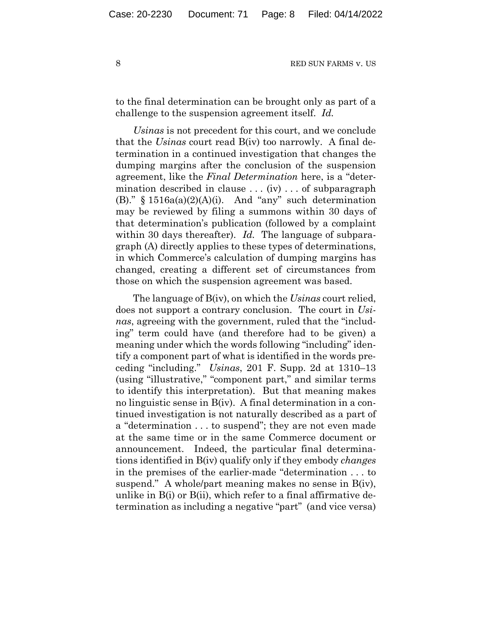to the final determination can be brought only as part of a challenge to the suspension agreement itself. *Id.*

*Usinas* is not precedent for this court, and we conclude that the *Usinas* court read B(iv) too narrowly. A final determination in a continued investigation that changes the dumping margins after the conclusion of the suspension agreement, like the *Final Determination* here, is a "determination described in clause ... (iv) ... of subparagraph (B)."  $§ 1516a(a)(2)(A)(i)$ . And "any" such determination may be reviewed by filing a summons within 30 days of that determination's publication (followed by a complaint within 30 days thereafter). *Id.* The language of subparagraph (A) directly applies to these types of determinations, in which Commerce's calculation of dumping margins has changed, creating a different set of circumstances from those on which the suspension agreement was based.

The language of B(iv), on which the *Usinas* court relied, does not support a contrary conclusion. The court in *Usinas*, agreeing with the government, ruled that the "including" term could have (and therefore had to be given) a meaning under which the words following "including" identify a component part of what is identified in the words preceding "including." *Usinas*, 201 F. Supp. 2d at 1310–13 (using "illustrative," "component part," and similar terms to identify this interpretation). But that meaning makes no linguistic sense in B(iv). A final determination in a continued investigation is not naturally described as a part of a "determination . . . to suspend"; they are not even made at the same time or in the same Commerce document or announcement. Indeed, the particular final determinations identified in B(iv) qualify only if they embody *changes*  in the premises of the earlier-made "determination . . . to suspend." A whole/part meaning makes no sense in B(iv), unlike in B(i) or B(ii), which refer to a final affirmative determination as including a negative "part" (and vice versa)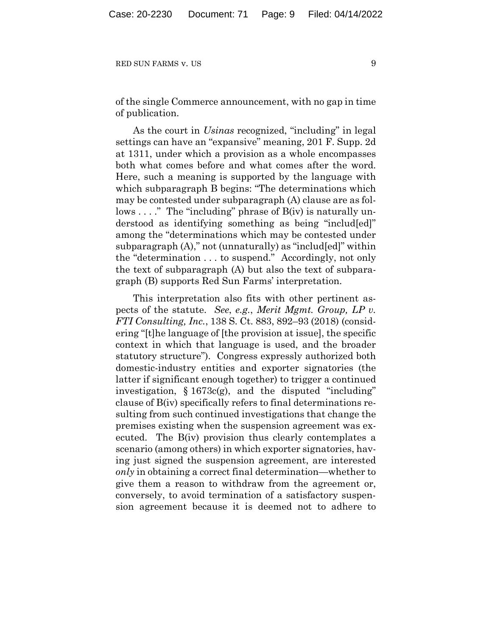of the single Commerce announcement, with no gap in time of publication.

As the court in *Usinas* recognized, "including" in legal settings can have an "expansive" meaning, 201 F. Supp. 2d at 1311, under which a provision as a whole encompasses both what comes before and what comes after the word. Here, such a meaning is supported by the language with which subparagraph B begins: "The determinations which may be contested under subparagraph (A) clause are as follows . . . ." The "including" phrase of B(iv) is naturally understood as identifying something as being "includ[ed]" among the "determinations which may be contested under subparagraph (A)," not (unnaturally) as "includ[ed]" within the "determination . . . to suspend." Accordingly, not only the text of subparagraph (A) but also the text of subparagraph (B) supports Red Sun Farms' interpretation.

This interpretation also fits with other pertinent aspects of the statute. *See*, *e.g.*, *Merit Mgmt. Group, LP v. FTI Consulting, Inc.*, 138 S. Ct. 883, 892–93 (2018) (considering "[t]he language of [the provision at issue], the specific context in which that language is used, and the broader statutory structure"). Congress expressly authorized both domestic-industry entities and exporter signatories (the latter if significant enough together) to trigger a continued investigation,  $\S 1673c(g)$ , and the disputed "including" clause of B(iv) specifically refers to final determinations resulting from such continued investigations that change the premises existing when the suspension agreement was executed. The B(iv) provision thus clearly contemplates a scenario (among others) in which exporter signatories, having just signed the suspension agreement, are interested *only* in obtaining a correct final determination—whether to give them a reason to withdraw from the agreement or, conversely, to avoid termination of a satisfactory suspension agreement because it is deemed not to adhere to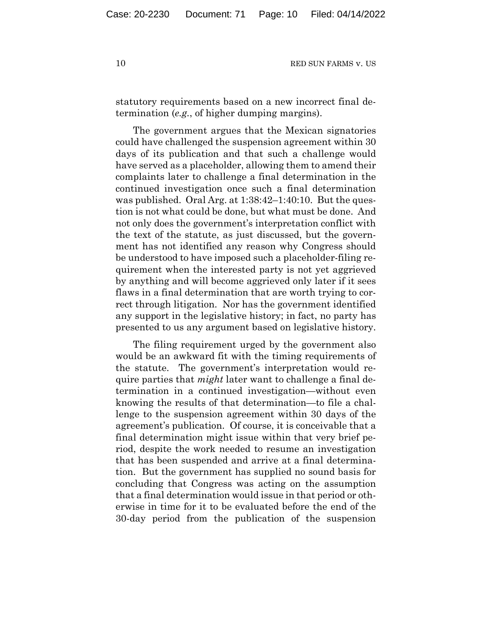statutory requirements based on a new incorrect final determination (*e.g.*, of higher dumping margins).

The government argues that the Mexican signatories could have challenged the suspension agreement within 30 days of its publication and that such a challenge would have served as a placeholder, allowing them to amend their complaints later to challenge a final determination in the continued investigation once such a final determination was published. Oral Arg. at 1:38:42–1:40:10. But the question is not what could be done, but what must be done. And not only does the government's interpretation conflict with the text of the statute, as just discussed, but the government has not identified any reason why Congress should be understood to have imposed such a placeholder-filing requirement when the interested party is not yet aggrieved by anything and will become aggrieved only later if it sees flaws in a final determination that are worth trying to correct through litigation. Nor has the government identified any support in the legislative history; in fact, no party has presented to us any argument based on legislative history.

The filing requirement urged by the government also would be an awkward fit with the timing requirements of the statute. The government's interpretation would require parties that *might* later want to challenge a final determination in a continued investigation—without even knowing the results of that determination—to file a challenge to the suspension agreement within 30 days of the agreement's publication. Of course, it is conceivable that a final determination might issue within that very brief period, despite the work needed to resume an investigation that has been suspended and arrive at a final determination. But the government has supplied no sound basis for concluding that Congress was acting on the assumption that a final determination would issue in that period or otherwise in time for it to be evaluated before the end of the 30-day period from the publication of the suspension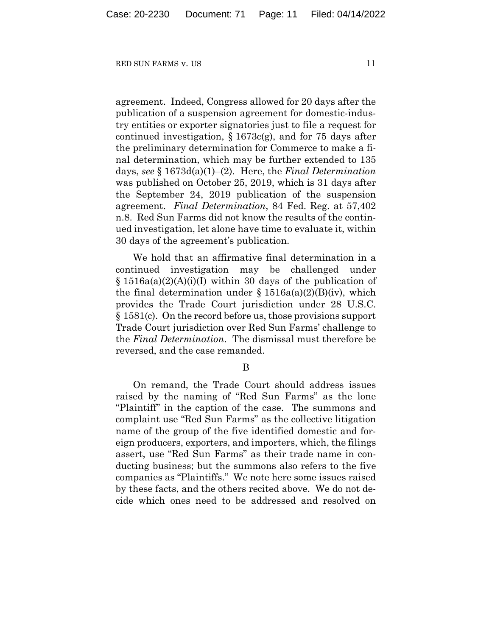agreement. Indeed, Congress allowed for 20 days after the publication of a suspension agreement for domestic-industry entities or exporter signatories just to file a request for continued investigation,  $\S 1673c(g)$ , and for 75 days after the preliminary determination for Commerce to make a final determination, which may be further extended to 135 days, *see* § 1673d(a)(1)–(2). Here, the *Final Determination*  was published on October 25, 2019, which is 31 days after the September 24, 2019 publication of the suspension agreement. *Final Determination*, 84 Fed. Reg. at 57,402 n.8. Red Sun Farms did not know the results of the continued investigation, let alone have time to evaluate it, within 30 days of the agreement's publication.

We hold that an affirmative final determination in a continued investigation may be challenged under § 1516a(a)(2)(A)(i)(I) within 30 days of the publication of the final determination under  $\S 1516a(a)(2)(B)(iv)$ , which provides the Trade Court jurisdiction under 28 U.S.C. § 1581(c). On the record before us, those provisions support Trade Court jurisdiction over Red Sun Farms' challenge to the *Final Determination*. The dismissal must therefore be reversed, and the case remanded.

B

On remand, the Trade Court should address issues raised by the naming of "Red Sun Farms" as the lone "Plaintiff" in the caption of the case. The summons and complaint use "Red Sun Farms" as the collective litigation name of the group of the five identified domestic and foreign producers, exporters, and importers, which, the filings assert, use "Red Sun Farms" as their trade name in conducting business; but the summons also refers to the five companies as "Plaintiffs." We note here some issues raised by these facts, and the others recited above. We do not decide which ones need to be addressed and resolved on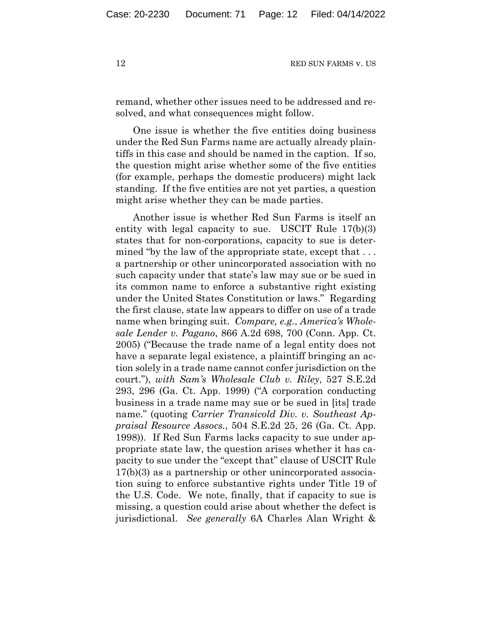remand, whether other issues need to be addressed and resolved, and what consequences might follow.

One issue is whether the five entities doing business under the Red Sun Farms name are actually already plaintiffs in this case and should be named in the caption. If so, the question might arise whether some of the five entities (for example, perhaps the domestic producers) might lack standing. If the five entities are not yet parties, a question might arise whether they can be made parties.

Another issue is whether Red Sun Farms is itself an entity with legal capacity to sue. USCIT Rule 17(b)(3) states that for non-corporations, capacity to sue is determined "by the law of the appropriate state, except that ... a partnership or other unincorporated association with no such capacity under that state's law may sue or be sued in its common name to enforce a substantive right existing under the United States Constitution or laws." Regarding the first clause, state law appears to differ on use of a trade name when bringing suit. *Compare, e.g.*, *America's Wholesale Lender v. Pagano*, 866 A.2d 698, 700 (Conn. App. Ct. 2005) ("Because the trade name of a legal entity does not have a separate legal existence, a plaintiff bringing an action solely in a trade name cannot confer jurisdiction on the court."), *with Sam's Wholesale Club v. Riley*, 527 S.E.2d 293, 296 (Ga. Ct. App. 1999) ("A corporation conducting business in a trade name may sue or be sued in [its] trade name." (quoting *Carrier Transicold Div. v. Southeast Appraisal Resource Assocs.*, 504 S.E.2d 25, 26 (Ga. Ct. App. 1998)). If Red Sun Farms lacks capacity to sue under appropriate state law, the question arises whether it has capacity to sue under the "except that" clause of USCIT Rule 17(b)(3) as a partnership or other unincorporated association suing to enforce substantive rights under Title 19 of the U.S. Code. We note, finally, that if capacity to sue is missing, a question could arise about whether the defect is jurisdictional. *See generally* 6A Charles Alan Wright &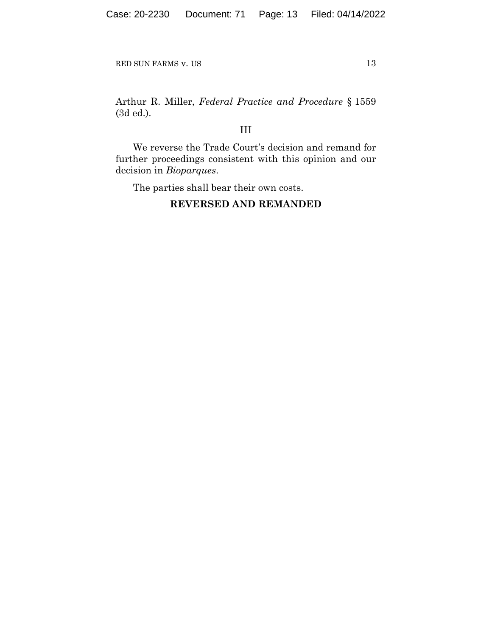Arthur R. Miller, *Federal Practice and Procedure* § 1559 (3d ed.).

# III

We reverse the Trade Court's decision and remand for further proceedings consistent with this opinion and our decision in *Bioparques*.

The parties shall bear their own costs.

## **REVERSED AND REMANDED**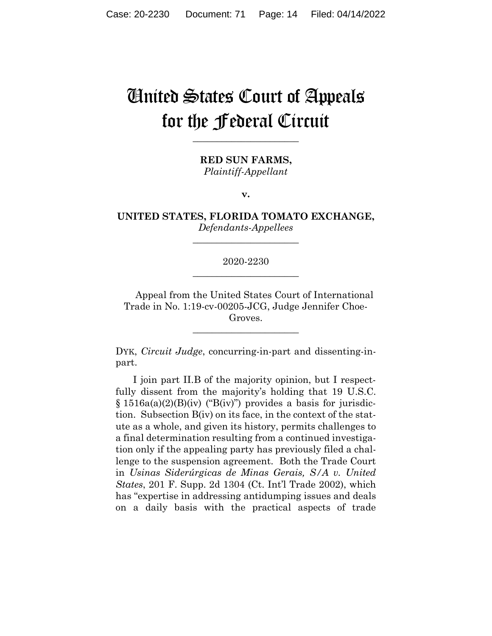# United States Court of Appeals for the Federal Circuit

**\_\_\_\_\_\_\_\_\_\_\_\_\_\_\_\_\_\_\_\_\_\_** 

**RED SUN FARMS,** *Plaintiff-Appellant*

**v.**

**UNITED STATES, FLORIDA TOMATO EXCHANGE,** *Defendants-Appellees*

**\_\_\_\_\_\_\_\_\_\_\_\_\_\_\_\_\_\_\_\_\_\_** 

2020-2230 **\_\_\_\_\_\_\_\_\_\_\_\_\_\_\_\_\_\_\_\_\_\_** 

Appeal from the United States Court of International Trade in No. 1:19-cv-00205-JCG, Judge Jennifer Choe-Groves.

 $\overline{\phantom{a}}$  , we can assume that the contract of  $\overline{\phantom{a}}$ 

DYK, *Circuit Judge*, concurring-in-part and dissenting-inpart.

I join part II.B of the majority opinion, but I respectfully dissent from the majority's holding that 19 U.S.C.  $§ 1516a(a)(2)(B)(iv)$  ("B(iv)") provides a basis for jurisdiction. Subsection B(iv) on its face, in the context of the statute as a whole, and given its history, permits challenges to a final determination resulting from a continued investigation only if the appealing party has previously filed a challenge to the suspension agreement. Both the Trade Court in *Usinas Siderúrgicas de Minas Gerais, S/A v. United States*, 201 F. Supp. 2d 1304 (Ct. Int'l Trade 2002), which has "expertise in addressing antidumping issues and deals on a daily basis with the practical aspects of trade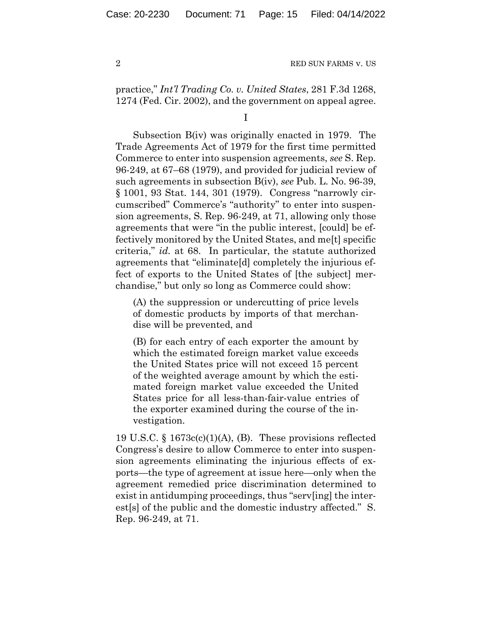practice," *Int'l Trading Co. v. United States*, 281 F.3d 1268, 1274 (Fed. Cir. 2002), and the government on appeal agree.

Subsection B(iv) was originally enacted in 1979. The Trade Agreements Act of 1979 for the first time permitted Commerce to enter into suspension agreements, *see* S. Rep. 96-249, at 67–68 (1979), and provided for judicial review of such agreements in subsection B(iv), *see* Pub. L. No. 96-39, § 1001, 93 Stat. 144, 301 (1979). Congress "narrowly circumscribed" Commerce's "authority" to enter into suspension agreements, S. Rep. 96-249, at 71, allowing only those agreements that were "in the public interest, [could] be effectively monitored by the United States, and me[t] specific criteria," *id.* at 68. In particular, the statute authorized agreements that "eliminate[d] completely the injurious effect of exports to the United States of [the subject] merchandise," but only so long as Commerce could show:

(A) the suppression or undercutting of price levels of domestic products by imports of that merchandise will be prevented, and

(B) for each entry of each exporter the amount by which the estimated foreign market value exceeds the United States price will not exceed 15 percent of the weighted average amount by which the estimated foreign market value exceeded the United States price for all less-than-fair-value entries of the exporter examined during the course of the investigation.

19 U.S.C. § 1673c(c)(1)(A), (B). These provisions reflected Congress's desire to allow Commerce to enter into suspension agreements eliminating the injurious effects of exports—the type of agreement at issue here—only when the agreement remedied price discrimination determined to exist in antidumping proceedings, thus "serv[ing] the interest[s] of the public and the domestic industry affected." S. Rep. 96-249, at 71.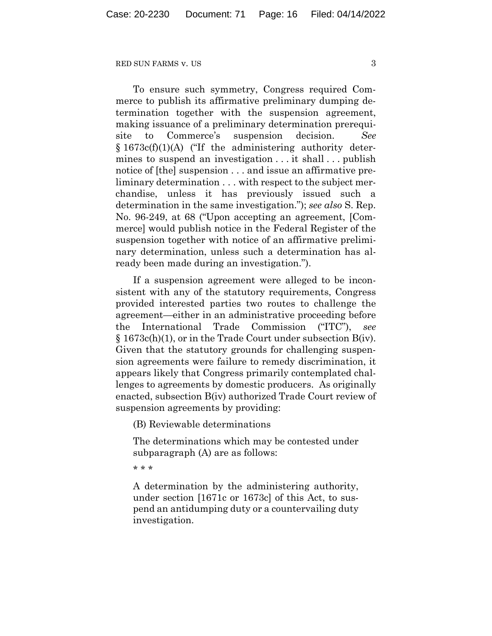To ensure such symmetry, Congress required Commerce to publish its affirmative preliminary dumping determination together with the suspension agreement, making issuance of a preliminary determination prerequisite to Commerce's suspension decision. *See*  $§ 1673c(f)(1)(A)$  ("If the administering authority determines to suspend an investigation . . . it shall . . . publish notice of [the] suspension . . . and issue an affirmative preliminary determination . . . with respect to the subject merchandise, unless it has previously issued such a determination in the same investigation."); *see also* S. Rep. No. 96-249, at 68 ("Upon accepting an agreement, [Commerce] would publish notice in the Federal Register of the suspension together with notice of an affirmative preliminary determination, unless such a determination has already been made during an investigation.").

If a suspension agreement were alleged to be inconsistent with any of the statutory requirements, Congress provided interested parties two routes to challenge the agreement—either in an administrative proceeding before the International Trade Commission ("ITC"), *see* § 1673c(h)(1), or in the Trade Court under subsection B(iv). Given that the statutory grounds for challenging suspension agreements were failure to remedy discrimination, it appears likely that Congress primarily contemplated challenges to agreements by domestic producers. As originally enacted, subsection B(iv) authorized Trade Court review of suspension agreements by providing:

(B) Reviewable determinations

The determinations which may be contested under subparagraph (A) are as follows:

\* \* \*

A determination by the administering authority, under section [1671c or 1673c] of this Act, to suspend an antidumping duty or a countervailing duty investigation.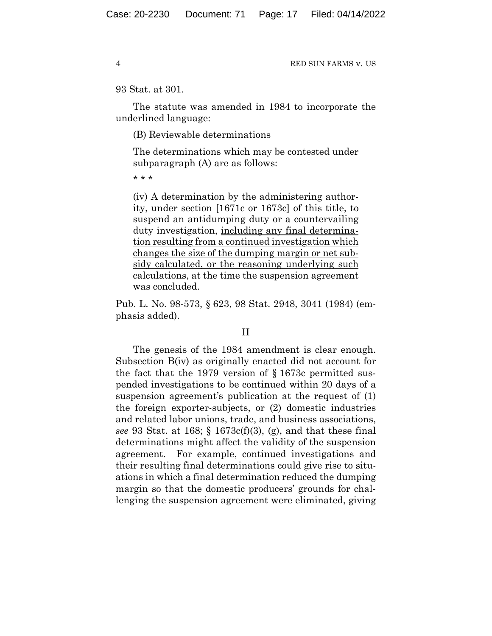## 93 Stat. at 301.

The statute was amended in 1984 to incorporate the underlined language:

(B) Reviewable determinations

The determinations which may be contested under subparagraph (A) are as follows:

\* \* \*

(iv) A determination by the administering authority, under section [1671c or 1673c] of this title, to suspend an antidumping duty or a countervailing duty investigation, including any final determination resulting from a continued investigation which changes the size of the dumping margin or net subsidy calculated, or the reasoning underlying such calculations, at the time the suspension agreement was concluded.

Pub. L. No. 98-573, § 623, 98 Stat. 2948, 3041 (1984) (emphasis added).

## II

The genesis of the 1984 amendment is clear enough. Subsection B(iv) as originally enacted did not account for the fact that the 1979 version of § 1673c permitted suspended investigations to be continued within 20 days of a suspension agreement's publication at the request of (1) the foreign exporter-subjects, or (2) domestic industries and related labor unions, trade, and business associations, *see* 93 Stat. at 168; § 1673c(f)(3), (g), and that these final determinations might affect the validity of the suspension agreement. For example, continued investigations and their resulting final determinations could give rise to situations in which a final determination reduced the dumping margin so that the domestic producers' grounds for challenging the suspension agreement were eliminated, giving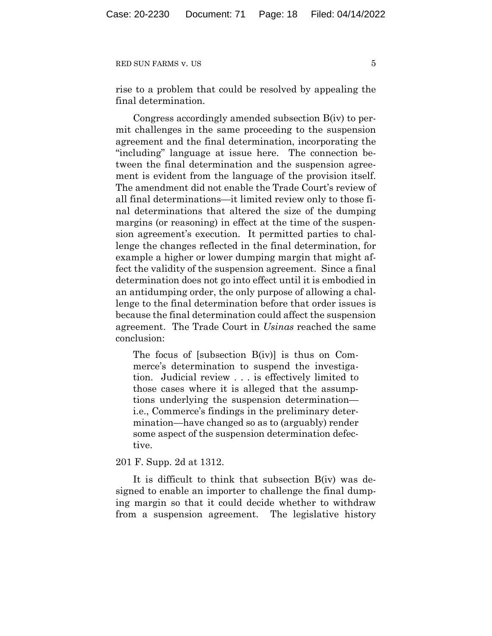rise to a problem that could be resolved by appealing the final determination.

Congress accordingly amended subsection B(iv) to permit challenges in the same proceeding to the suspension agreement and the final determination, incorporating the "including" language at issue here. The connection between the final determination and the suspension agreement is evident from the language of the provision itself. The amendment did not enable the Trade Court's review of all final determinations—it limited review only to those final determinations that altered the size of the dumping margins (or reasoning) in effect at the time of the suspension agreement's execution. It permitted parties to challenge the changes reflected in the final determination, for example a higher or lower dumping margin that might affect the validity of the suspension agreement. Since a final determination does not go into effect until it is embodied in an antidumping order, the only purpose of allowing a challenge to the final determination before that order issues is because the final determination could affect the suspension agreement. The Trade Court in *Usinas* reached the same conclusion:

The focus of [subsection B(iv)] is thus on Commerce's determination to suspend the investigation. Judicial review . . . is effectively limited to those cases where it is alleged that the assumptions underlying the suspension determination i.e., Commerce's findings in the preliminary determination—have changed so as to (arguably) render some aspect of the suspension determination defective.

201 F. Supp. 2d at 1312.

It is difficult to think that subsection B(iv) was designed to enable an importer to challenge the final dumping margin so that it could decide whether to withdraw from a suspension agreement. The legislative history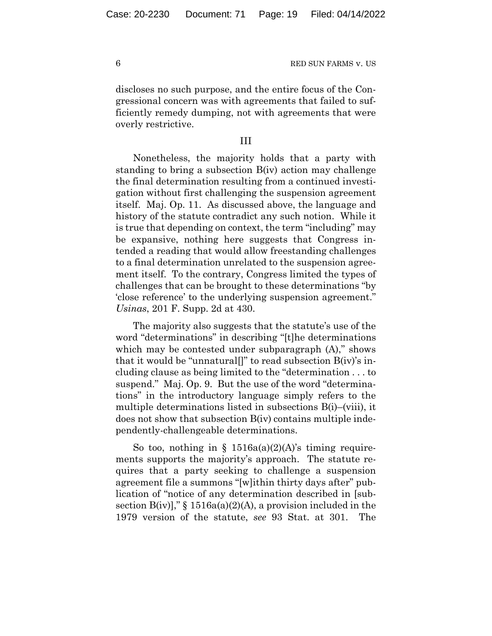discloses no such purpose, and the entire focus of the Congressional concern was with agreements that failed to sufficiently remedy dumping, not with agreements that were overly restrictive.

## III

Nonetheless, the majority holds that a party with standing to bring a subsection B(iv) action may challenge the final determination resulting from a continued investigation without first challenging the suspension agreement itself. Maj. Op. 11. As discussed above, the language and history of the statute contradict any such notion. While it is true that depending on context, the term "including" may be expansive, nothing here suggests that Congress intended a reading that would allow freestanding challenges to a final determination unrelated to the suspension agreement itself. To the contrary, Congress limited the types of challenges that can be brought to these determinations "by 'close reference' to the underlying suspension agreement." *Usinas*, 201 F. Supp. 2d at 430.

The majority also suggests that the statute's use of the word "determinations" in describing "[t]he determinations which may be contested under subparagraph (A)," shows that it would be "unnatural]]" to read subsection  $B(iv)$ 's including clause as being limited to the "determination . . . to suspend." Maj. Op. 9. But the use of the word "determinations" in the introductory language simply refers to the multiple determinations listed in subsections B(i)–(viii), it does not show that subsection B(iv) contains multiple independently-challengeable determinations.

So too, nothing in §  $1516a(a)(2)(A)$ 's timing requirements supports the majority's approach. The statute requires that a party seeking to challenge a suspension agreement file a summons "[w]ithin thirty days after" publication of "notice of any determination described in [subsection  $B(iv)$ ," § 1516a(a)(2)(A), a provision included in the 1979 version of the statute, *see* 93 Stat. at 301. The